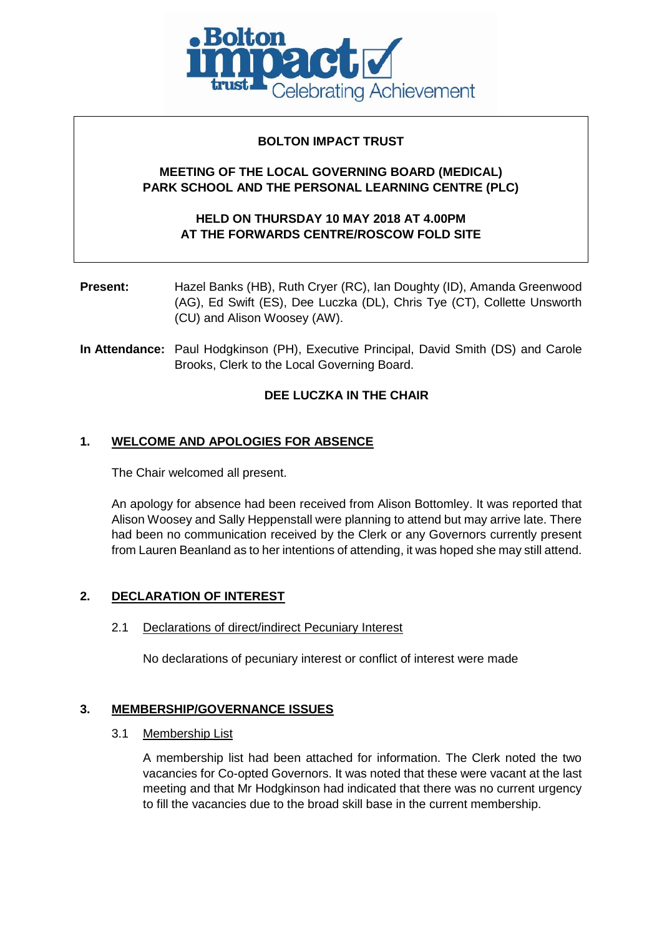

# **BOLTON IMPACT TRUST**

# **MEETING OF THE LOCAL GOVERNING BOARD (MEDICAL) PARK SCHOOL AND THE PERSONAL LEARNING CENTRE (PLC)**

# **HELD ON THURSDAY 10 MAY 2018 AT 4.00PM AT THE FORWARDS CENTRE/ROSCOW FOLD SITE**

**Present:** Hazel Banks (HB), Ruth Cryer (RC), Ian Doughty (ID), Amanda Greenwood (AG), Ed Swift (ES), Dee Luczka (DL), Chris Tye (CT), Collette Unsworth (CU) and Alison Woosey (AW).

**In Attendance:** Paul Hodgkinson (PH), Executive Principal, David Smith (DS) and Carole Brooks, Clerk to the Local Governing Board.

# **DEE LUCZKA IN THE CHAIR**

# **1. WELCOME AND APOLOGIES FOR ABSENCE**

The Chair welcomed all present.

An apology for absence had been received from Alison Bottomley. It was reported that Alison Woosey and Sally Heppenstall were planning to attend but may arrive late. There had been no communication received by the Clerk or any Governors currently present from Lauren Beanland as to her intentions of attending, it was hoped she may still attend.

## **2. DECLARATION OF INTEREST**

## 2.1 Declarations of direct/indirect Pecuniary Interest

No declarations of pecuniary interest or conflict of interest were made

## **3. MEMBERSHIP/GOVERNANCE ISSUES**

3.1 Membership List

A membership list had been attached for information. The Clerk noted the two vacancies for Co-opted Governors. It was noted that these were vacant at the last meeting and that Mr Hodgkinson had indicated that there was no current urgency to fill the vacancies due to the broad skill base in the current membership.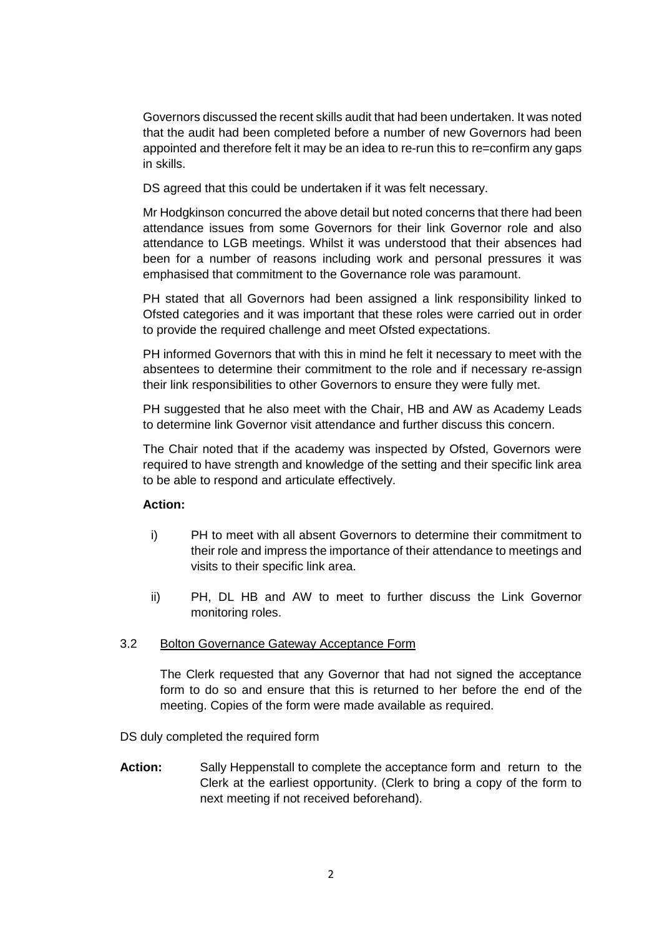Governors discussed the recent skills audit that had been undertaken. It was noted that the audit had been completed before a number of new Governors had been appointed and therefore felt it may be an idea to re-run this to re=confirm any gaps in skills.

DS agreed that this could be undertaken if it was felt necessary.

Mr Hodgkinson concurred the above detail but noted concerns that there had been attendance issues from some Governors for their link Governor role and also attendance to LGB meetings. Whilst it was understood that their absences had been for a number of reasons including work and personal pressures it was emphasised that commitment to the Governance role was paramount.

PH stated that all Governors had been assigned a link responsibility linked to Ofsted categories and it was important that these roles were carried out in order to provide the required challenge and meet Ofsted expectations.

PH informed Governors that with this in mind he felt it necessary to meet with the absentees to determine their commitment to the role and if necessary re-assign their link responsibilities to other Governors to ensure they were fully met.

PH suggested that he also meet with the Chair, HB and AW as Academy Leads to determine link Governor visit attendance and further discuss this concern.

The Chair noted that if the academy was inspected by Ofsted, Governors were required to have strength and knowledge of the setting and their specific link area to be able to respond and articulate effectively.

# **Action:**

- i) PH to meet with all absent Governors to determine their commitment to their role and impress the importance of their attendance to meetings and visits to their specific link area.
- ii) PH, DL HB and AW to meet to further discuss the Link Governor monitoring roles.

## 3.2 Bolton Governance Gateway Acceptance Form

The Clerk requested that any Governor that had not signed the acceptance form to do so and ensure that this is returned to her before the end of the meeting. Copies of the form were made available as required.

DS duly completed the required form

**Action:** Sally Heppenstall to complete the acceptance form and return to the Clerk at the earliest opportunity. (Clerk to bring a copy of the form to next meeting if not received beforehand).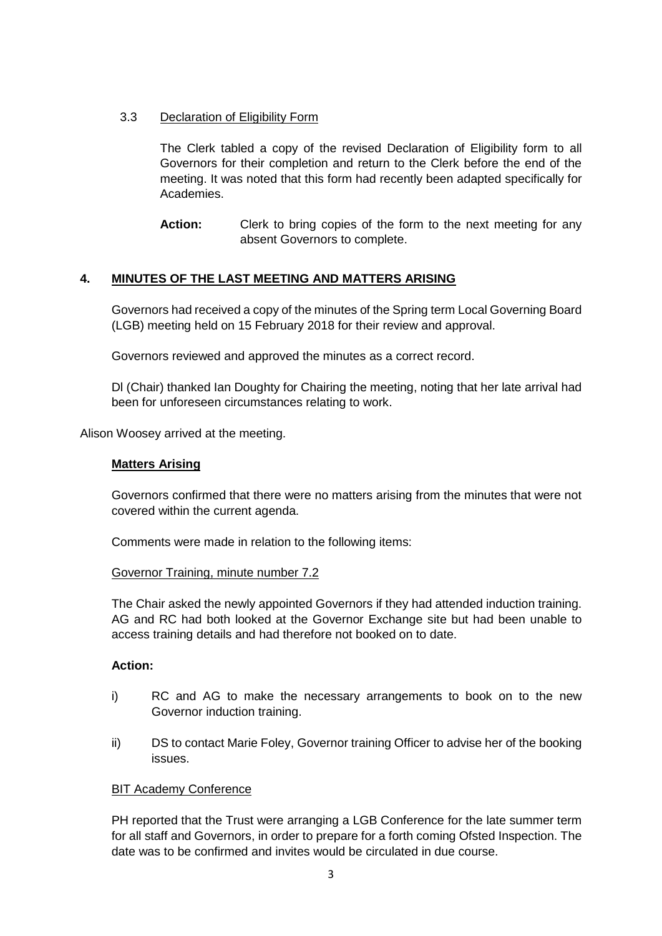# 3.3 Declaration of Eligibility Form

The Clerk tabled a copy of the revised Declaration of Eligibility form to all Governors for their completion and return to the Clerk before the end of the meeting. It was noted that this form had recently been adapted specifically for Academies.

Action: Clerk to bring copies of the form to the next meeting for any absent Governors to complete.

# **4. MINUTES OF THE LAST MEETING AND MATTERS ARISING**

Governors had received a copy of the minutes of the Spring term Local Governing Board (LGB) meeting held on 15 February 2018 for their review and approval.

Governors reviewed and approved the minutes as a correct record.

Dl (Chair) thanked Ian Doughty for Chairing the meeting, noting that her late arrival had been for unforeseen circumstances relating to work.

Alison Woosey arrived at the meeting.

#### **Matters Arising**

Governors confirmed that there were no matters arising from the minutes that were not covered within the current agenda.

Comments were made in relation to the following items:

#### Governor Training, minute number 7.2

The Chair asked the newly appointed Governors if they had attended induction training. AG and RC had both looked at the Governor Exchange site but had been unable to access training details and had therefore not booked on to date.

#### **Action:**

- i) RC and AG to make the necessary arrangements to book on to the new Governor induction training.
- ii) DS to contact Marie Foley, Governor training Officer to advise her of the booking issues.

#### BIT Academy Conference

PH reported that the Trust were arranging a LGB Conference for the late summer term for all staff and Governors, in order to prepare for a forth coming Ofsted Inspection. The date was to be confirmed and invites would be circulated in due course.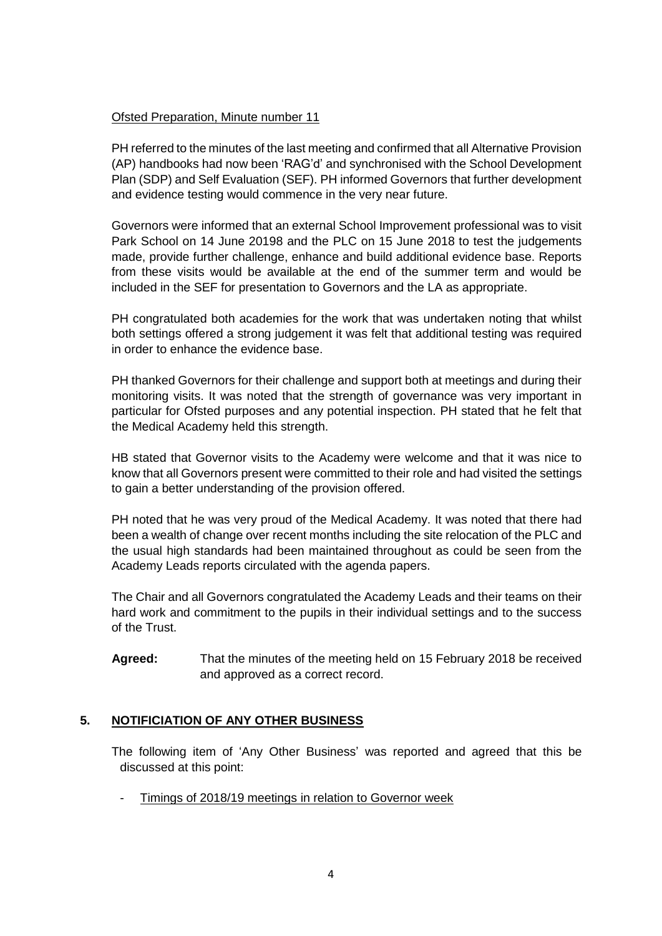# Ofsted Preparation, Minute number 11

PH referred to the minutes of the last meeting and confirmed that all Alternative Provision (AP) handbooks had now been 'RAG'd' and synchronised with the School Development Plan (SDP) and Self Evaluation (SEF). PH informed Governors that further development and evidence testing would commence in the very near future.

Governors were informed that an external School Improvement professional was to visit Park School on 14 June 20198 and the PLC on 15 June 2018 to test the judgements made, provide further challenge, enhance and build additional evidence base. Reports from these visits would be available at the end of the summer term and would be included in the SEF for presentation to Governors and the LA as appropriate.

PH congratulated both academies for the work that was undertaken noting that whilst both settings offered a strong judgement it was felt that additional testing was required in order to enhance the evidence base.

PH thanked Governors for their challenge and support both at meetings and during their monitoring visits. It was noted that the strength of governance was very important in particular for Ofsted purposes and any potential inspection. PH stated that he felt that the Medical Academy held this strength.

HB stated that Governor visits to the Academy were welcome and that it was nice to know that all Governors present were committed to their role and had visited the settings to gain a better understanding of the provision offered.

PH noted that he was very proud of the Medical Academy. It was noted that there had been a wealth of change over recent months including the site relocation of the PLC and the usual high standards had been maintained throughout as could be seen from the Academy Leads reports circulated with the agenda papers.

The Chair and all Governors congratulated the Academy Leads and their teams on their hard work and commitment to the pupils in their individual settings and to the success of the Trust.

**Agreed:** That the minutes of the meeting held on 15 February 2018 be received and approved as a correct record.

# **5. NOTIFICIATION OF ANY OTHER BUSINESS**

The following item of 'Any Other Business' was reported and agreed that this be discussed at this point:

Timings of 2018/19 meetings in relation to Governor week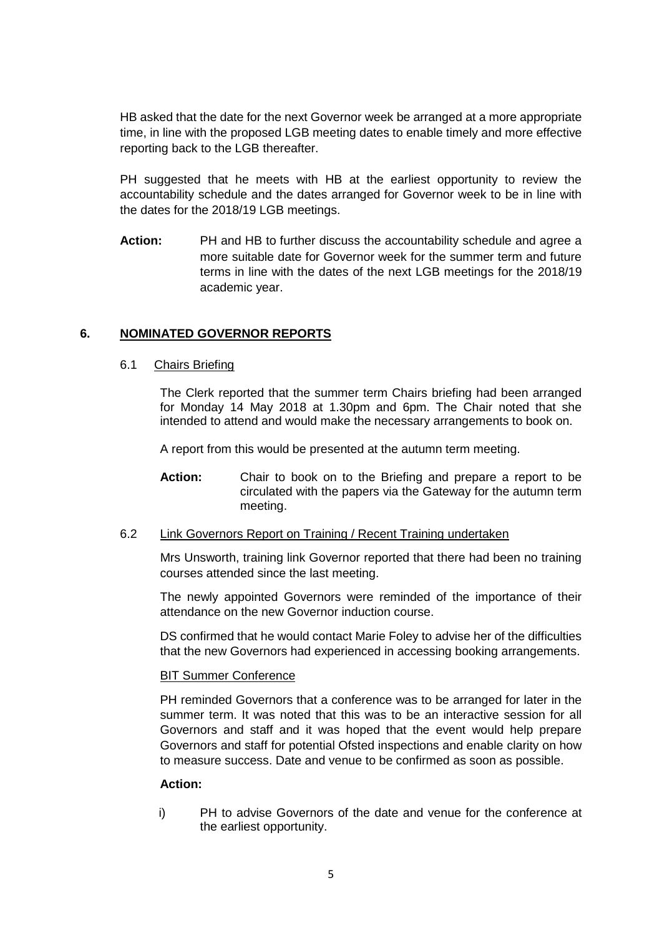HB asked that the date for the next Governor week be arranged at a more appropriate time, in line with the proposed LGB meeting dates to enable timely and more effective reporting back to the LGB thereafter.

PH suggested that he meets with HB at the earliest opportunity to review the accountability schedule and the dates arranged for Governor week to be in line with the dates for the 2018/19 LGB meetings.

**Action:** PH and HB to further discuss the accountability schedule and agree a more suitable date for Governor week for the summer term and future terms in line with the dates of the next LGB meetings for the 2018/19 academic year.

# **6. NOMINATED GOVERNOR REPORTS**

#### 6.1 Chairs Briefing

The Clerk reported that the summer term Chairs briefing had been arranged for Monday 14 May 2018 at 1.30pm and 6pm. The Chair noted that she intended to attend and would make the necessary arrangements to book on.

A report from this would be presented at the autumn term meeting.

**Action:** Chair to book on to the Briefing and prepare a report to be circulated with the papers via the Gateway for the autumn term meeting.

#### 6.2 Link Governors Report on Training / Recent Training undertaken

Mrs Unsworth, training link Governor reported that there had been no training courses attended since the last meeting.

The newly appointed Governors were reminded of the importance of their attendance on the new Governor induction course.

DS confirmed that he would contact Marie Foley to advise her of the difficulties that the new Governors had experienced in accessing booking arrangements.

## BIT Summer Conference

PH reminded Governors that a conference was to be arranged for later in the summer term. It was noted that this was to be an interactive session for all Governors and staff and it was hoped that the event would help prepare Governors and staff for potential Ofsted inspections and enable clarity on how to measure success. Date and venue to be confirmed as soon as possible.

## **Action:**

i) PH to advise Governors of the date and venue for the conference at the earliest opportunity.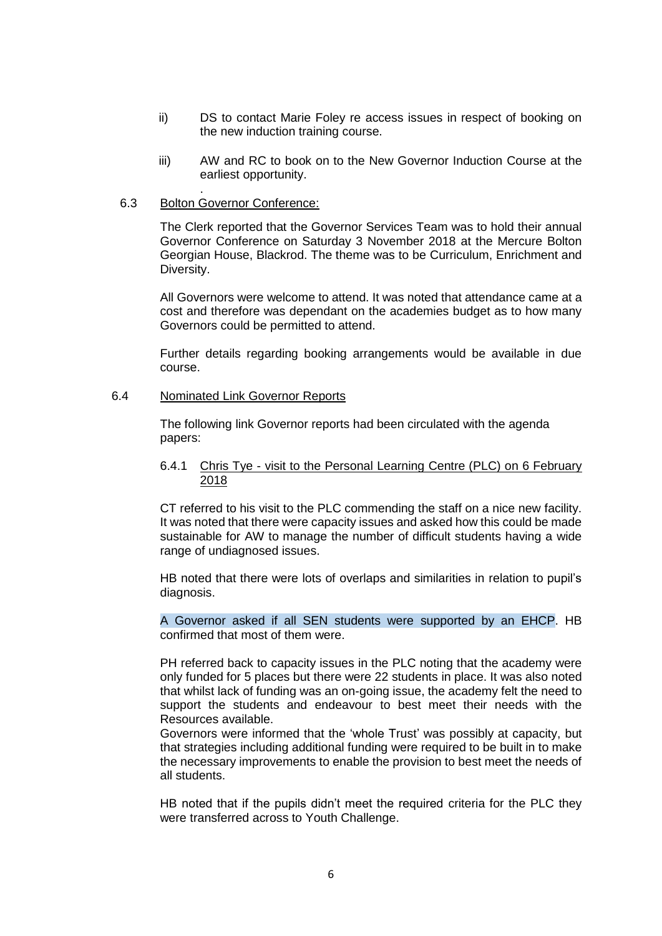- ii) DS to contact Marie Foley re access issues in respect of booking on the new induction training course.
- iii) AW and RC to book on to the New Governor Induction Course at the earliest opportunity.

#### 6.3 Bolton Governor Conference:

.

The Clerk reported that the Governor Services Team was to hold their annual Governor Conference on Saturday 3 November 2018 at the Mercure Bolton Georgian House, Blackrod. The theme was to be Curriculum, Enrichment and Diversity.

All Governors were welcome to attend. It was noted that attendance came at a cost and therefore was dependant on the academies budget as to how many Governors could be permitted to attend.

Further details regarding booking arrangements would be available in due course.

#### 6.4 Nominated Link Governor Reports

The following link Governor reports had been circulated with the agenda papers:

#### 6.4.1 Chris Tye - visit to the Personal Learning Centre (PLC) on 6 February 2018

CT referred to his visit to the PLC commending the staff on a nice new facility. It was noted that there were capacity issues and asked how this could be made sustainable for AW to manage the number of difficult students having a wide range of undiagnosed issues.

HB noted that there were lots of overlaps and similarities in relation to pupil's diagnosis.

A Governor asked if all SEN students were supported by an EHCP. HB confirmed that most of them were.

PH referred back to capacity issues in the PLC noting that the academy were only funded for 5 places but there were 22 students in place. It was also noted that whilst lack of funding was an on-going issue, the academy felt the need to support the students and endeavour to best meet their needs with the Resources available.

Governors were informed that the 'whole Trust' was possibly at capacity, but that strategies including additional funding were required to be built in to make the necessary improvements to enable the provision to best meet the needs of all students.

HB noted that if the pupils didn't meet the required criteria for the PLC they were transferred across to Youth Challenge.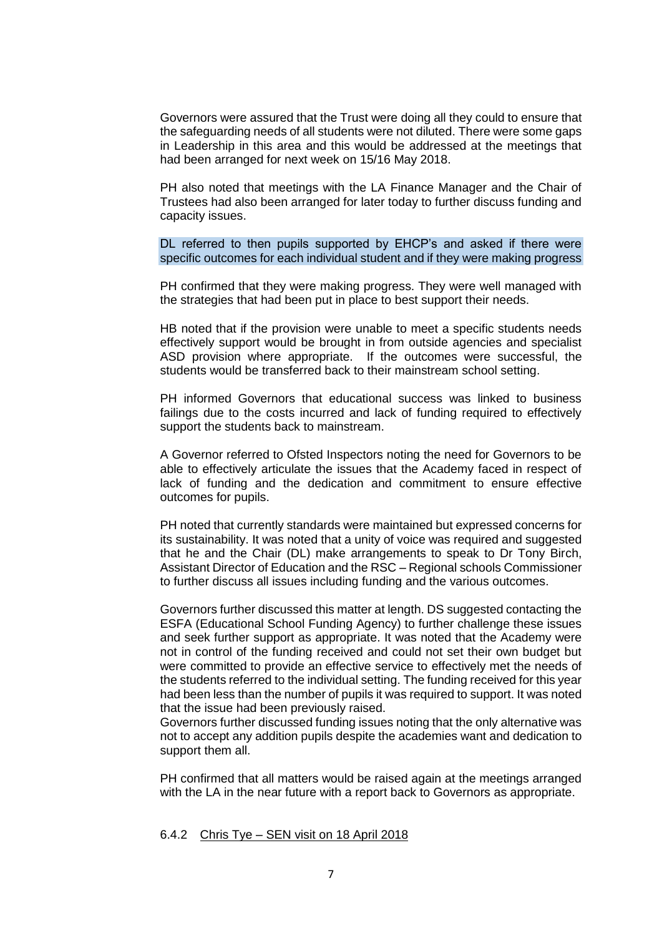Governors were assured that the Trust were doing all they could to ensure that the safeguarding needs of all students were not diluted. There were some gaps in Leadership in this area and this would be addressed at the meetings that had been arranged for next week on 15/16 May 2018.

PH also noted that meetings with the LA Finance Manager and the Chair of Trustees had also been arranged for later today to further discuss funding and capacity issues.

DL referred to then pupils supported by EHCP's and asked if there were specific outcomes for each individual student and if they were making progress

PH confirmed that they were making progress. They were well managed with the strategies that had been put in place to best support their needs.

HB noted that if the provision were unable to meet a specific students needs effectively support would be brought in from outside agencies and specialist ASD provision where appropriate. If the outcomes were successful, the students would be transferred back to their mainstream school setting.

PH informed Governors that educational success was linked to business failings due to the costs incurred and lack of funding required to effectively support the students back to mainstream.

A Governor referred to Ofsted Inspectors noting the need for Governors to be able to effectively articulate the issues that the Academy faced in respect of lack of funding and the dedication and commitment to ensure effective outcomes for pupils.

PH noted that currently standards were maintained but expressed concerns for its sustainability. It was noted that a unity of voice was required and suggested that he and the Chair (DL) make arrangements to speak to Dr Tony Birch, Assistant Director of Education and the RSC – Regional schools Commissioner to further discuss all issues including funding and the various outcomes.

Governors further discussed this matter at length. DS suggested contacting the ESFA (Educational School Funding Agency) to further challenge these issues and seek further support as appropriate. It was noted that the Academy were not in control of the funding received and could not set their own budget but were committed to provide an effective service to effectively met the needs of the students referred to the individual setting. The funding received for this year had been less than the number of pupils it was required to support. It was noted that the issue had been previously raised.

Governors further discussed funding issues noting that the only alternative was not to accept any addition pupils despite the academies want and dedication to support them all.

PH confirmed that all matters would be raised again at the meetings arranged with the LA in the near future with a report back to Governors as appropriate.

6.4.2 Chris Tye – SEN visit on 18 April 2018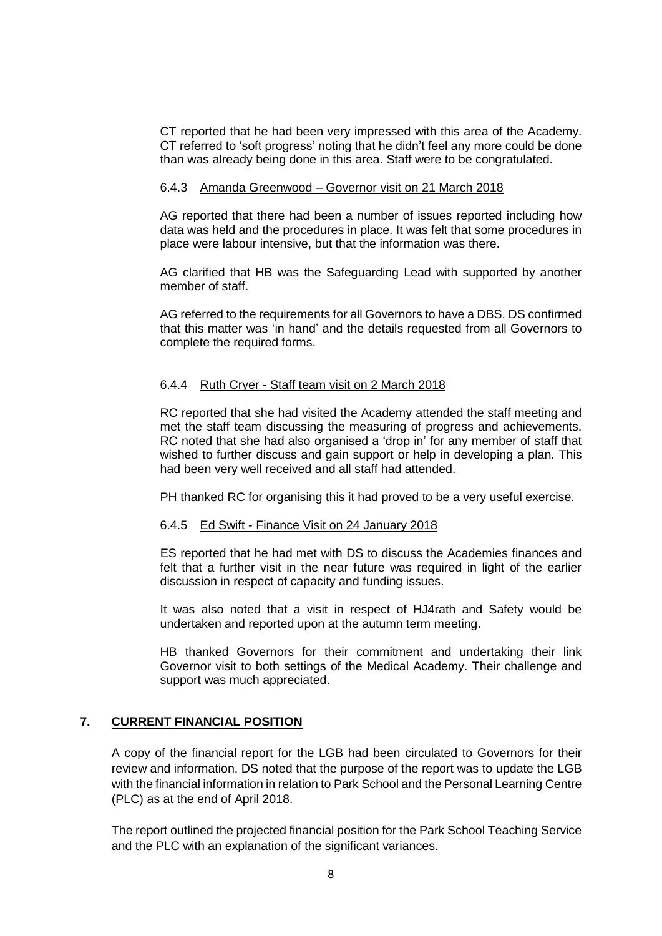CT reported that he had been very impressed with this area of the Academy. CT referred to 'soft progress' noting that he didn't feel any more could be done than was already being done in this area. Staff were to be congratulated.

#### 6.4.3 Amanda Greenwood – Governor visit on 21 March 2018

AG reported that there had been a number of issues reported including how data was held and the procedures in place. It was felt that some procedures in place were labour intensive, but that the information was there.

AG clarified that HB was the Safeguarding Lead with supported by another member of staff.

AG referred to the requirements for all Governors to have a DBS. DS confirmed that this matter was 'in hand' and the details requested from all Governors to complete the required forms.

#### 6.4.4 Ruth Cryer - Staff team visit on 2 March 2018

RC reported that she had visited the Academy attended the staff meeting and met the staff team discussing the measuring of progress and achievements. RC noted that she had also organised a 'drop in' for any member of staff that wished to further discuss and gain support or help in developing a plan. This had been very well received and all staff had attended.

PH thanked RC for organising this it had proved to be a very useful exercise.

## 6.4.5 Ed Swift - Finance Visit on 24 January 2018

ES reported that he had met with DS to discuss the Academies finances and felt that a further visit in the near future was required in light of the earlier discussion in respect of capacity and funding issues.

It was also noted that a visit in respect of HJ4rath and Safety would be undertaken and reported upon at the autumn term meeting.

HB thanked Governors for their commitment and undertaking their link Governor visit to both settings of the Medical Academy. Their challenge and support was much appreciated.

## **7. CURRENT FINANCIAL POSITION**

A copy of the financial report for the LGB had been circulated to Governors for their review and information. DS noted that the purpose of the report was to update the LGB with the financial information in relation to Park School and the Personal Learning Centre (PLC) as at the end of April 2018.

The report outlined the projected financial position for the Park School Teaching Service and the PLC with an explanation of the significant variances.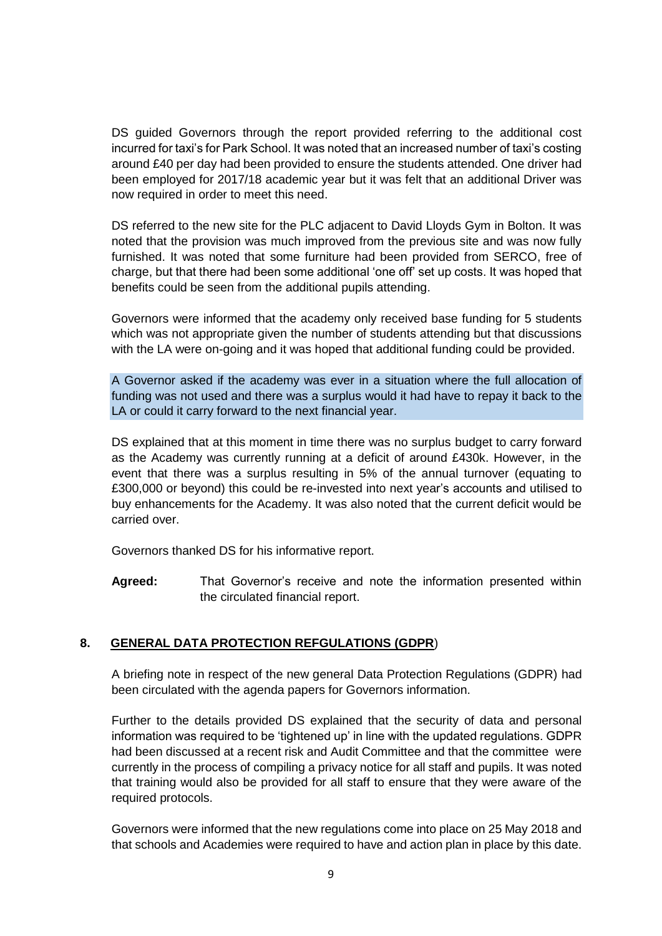DS guided Governors through the report provided referring to the additional cost incurred for taxi's for Park School. It was noted that an increased number of taxi's costing around £40 per day had been provided to ensure the students attended. One driver had been employed for 2017/18 academic year but it was felt that an additional Driver was now required in order to meet this need.

DS referred to the new site for the PLC adjacent to David Lloyds Gym in Bolton. It was noted that the provision was much improved from the previous site and was now fully furnished. It was noted that some furniture had been provided from SERCO, free of charge, but that there had been some additional 'one off' set up costs. It was hoped that benefits could be seen from the additional pupils attending.

Governors were informed that the academy only received base funding for 5 students which was not appropriate given the number of students attending but that discussions with the LA were on-going and it was hoped that additional funding could be provided.

A Governor asked if the academy was ever in a situation where the full allocation of funding was not used and there was a surplus would it had have to repay it back to the LA or could it carry forward to the next financial year.

DS explained that at this moment in time there was no surplus budget to carry forward as the Academy was currently running at a deficit of around £430k. However, in the event that there was a surplus resulting in 5% of the annual turnover (equating to £300,000 or beyond) this could be re-invested into next year's accounts and utilised to buy enhancements for the Academy. It was also noted that the current deficit would be carried over.

Governors thanked DS for his informative report.

**Agreed:** That Governor's receive and note the information presented within the circulated financial report.

## **8. GENERAL DATA PROTECTION REFGULATIONS (GDPR**)

A briefing note in respect of the new general Data Protection Regulations (GDPR) had been circulated with the agenda papers for Governors information.

Further to the details provided DS explained that the security of data and personal information was required to be 'tightened up' in line with the updated regulations. GDPR had been discussed at a recent risk and Audit Committee and that the committee were currently in the process of compiling a privacy notice for all staff and pupils. It was noted that training would also be provided for all staff to ensure that they were aware of the required protocols.

Governors were informed that the new regulations come into place on 25 May 2018 and that schools and Academies were required to have and action plan in place by this date.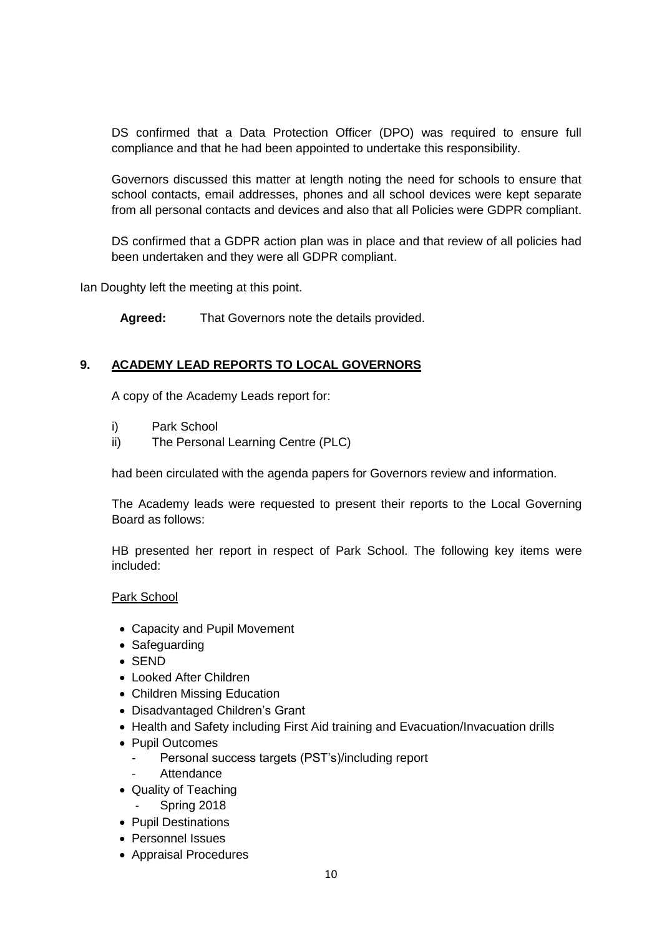DS confirmed that a Data Protection Officer (DPO) was required to ensure full compliance and that he had been appointed to undertake this responsibility.

Governors discussed this matter at length noting the need for schools to ensure that school contacts, email addresses, phones and all school devices were kept separate from all personal contacts and devices and also that all Policies were GDPR compliant.

DS confirmed that a GDPR action plan was in place and that review of all policies had been undertaken and they were all GDPR compliant.

Ian Doughty left the meeting at this point.

**Agreed:** That Governors note the details provided.

## **9. ACADEMY LEAD REPORTS TO LOCAL GOVERNORS**

A copy of the Academy Leads report for:

- i) Park School
- ii) The Personal Learning Centre (PLC)

had been circulated with the agenda papers for Governors review and information.

The Academy leads were requested to present their reports to the Local Governing Board as follows:

HB presented her report in respect of Park School. The following key items were included:

#### Park School

- Capacity and Pupil Movement
- Safeguarding
- SEND
- Looked After Children
- Children Missing Education
- Disadvantaged Children's Grant
- Health and Safety including First Aid training and Evacuation/Invacuation drills
- Pupil Outcomes
	- Personal success targets (PST's)/including report
	- **Attendance**
- Quality of Teaching
	- Spring 2018
- Pupil Destinations
- Personnel Issues
- Appraisal Procedures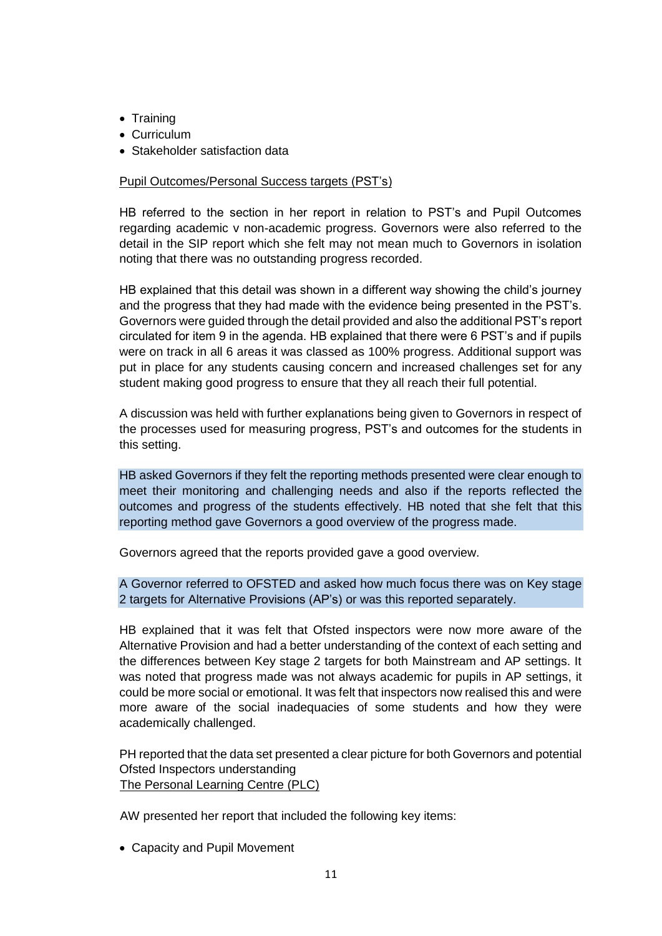- Training
- Curriculum
- Stakeholder satisfaction data

## Pupil Outcomes/Personal Success targets (PST's)

HB referred to the section in her report in relation to PST's and Pupil Outcomes regarding academic v non-academic progress. Governors were also referred to the detail in the SIP report which she felt may not mean much to Governors in isolation noting that there was no outstanding progress recorded.

HB explained that this detail was shown in a different way showing the child's journey and the progress that they had made with the evidence being presented in the PST's. Governors were guided through the detail provided and also the additional PST's report circulated for item 9 in the agenda. HB explained that there were 6 PST's and if pupils were on track in all 6 areas it was classed as 100% progress. Additional support was put in place for any students causing concern and increased challenges set for any student making good progress to ensure that they all reach their full potential.

A discussion was held with further explanations being given to Governors in respect of the processes used for measuring progress, PST's and outcomes for the students in this setting.

HB asked Governors if they felt the reporting methods presented were clear enough to meet their monitoring and challenging needs and also if the reports reflected the outcomes and progress of the students effectively. HB noted that she felt that this reporting method gave Governors a good overview of the progress made.

Governors agreed that the reports provided gave a good overview.

A Governor referred to OFSTED and asked how much focus there was on Key stage 2 targets for Alternative Provisions (AP's) or was this reported separately.

HB explained that it was felt that Ofsted inspectors were now more aware of the Alternative Provision and had a better understanding of the context of each setting and the differences between Key stage 2 targets for both Mainstream and AP settings. It was noted that progress made was not always academic for pupils in AP settings, it could be more social or emotional. It was felt that inspectors now realised this and were more aware of the social inadequacies of some students and how they were academically challenged.

PH reported that the data set presented a clear picture for both Governors and potential Ofsted Inspectors understanding The Personal Learning Centre (PLC)

AW presented her report that included the following key items:

Capacity and Pupil Movement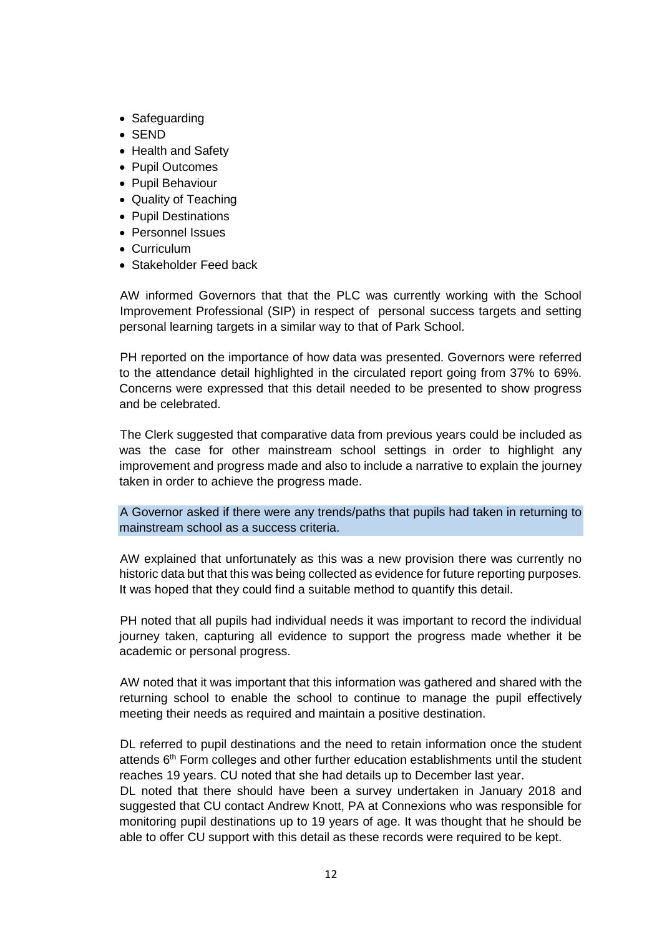- Safeguarding
- SEND
- Health and Safety
- Pupil Outcomes
- Pupil Behaviour
- Quality of Teaching
- Pupil Destinations
- Personnel Issues
- **Curriculum**
- Stakeholder Feed back

AW informed Governors that that the PLC was currently working with the School Improvement Professional (SIP) in respect of personal success targets and setting personal learning targets in a similar way to that of Park School.

PH reported on the importance of how data was presented. Governors were referred to the attendance detail highlighted in the circulated report going from 37% to 69%. Concerns were expressed that this detail needed to be presented to show progress and be celebrated.

The Clerk suggested that comparative data from previous years could be included as was the case for other mainstream school settings in order to highlight any improvement and progress made and also to include a narrative to explain the journey taken in order to achieve the progress made.

A Governor asked if there were any trends/paths that pupils had taken in returning to mainstream school as a success criteria.

AW explained that unfortunately as this was a new provision there was currently no historic data but that this was being collected as evidence for future reporting purposes. It was hoped that they could find a suitable method to quantify this detail.

PH noted that all pupils had individual needs it was important to record the individual journey taken, capturing all evidence to support the progress made whether it be academic or personal progress.

AW noted that it was important that this information was gathered and shared with the returning school to enable the school to continue to manage the pupil effectively meeting their needs as required and maintain a positive destination.

DL referred to pupil destinations and the need to retain information once the student attends  $6<sup>th</sup>$  Form colleges and other further education establishments until the student reaches 19 years. CU noted that she had details up to December last year.

DL noted that there should have been a survey undertaken in January 2018 and suggested that CU contact Andrew Knott, PA at Connexions who was responsible for monitoring pupil destinations up to 19 years of age. It was thought that he should be able to offer CU support with this detail as these records were required to be kept.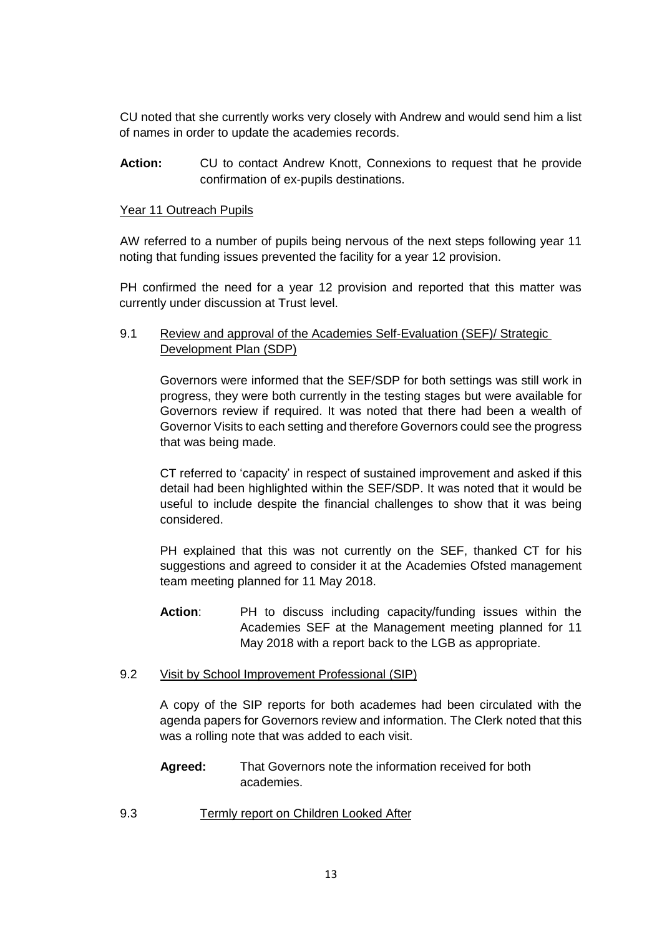CU noted that she currently works very closely with Andrew and would send him a list of names in order to update the academies records.

Action: CU to contact Andrew Knott, Connexions to request that he provide confirmation of ex-pupils destinations.

# Year 11 Outreach Pupils

AW referred to a number of pupils being nervous of the next steps following year 11 noting that funding issues prevented the facility for a year 12 provision.

PH confirmed the need for a year 12 provision and reported that this matter was currently under discussion at Trust level.

9.1 Review and approval of the Academies Self-Evaluation (SEF)/ Strategic Development Plan (SDP)

Governors were informed that the SEF/SDP for both settings was still work in progress, they were both currently in the testing stages but were available for Governors review if required. It was noted that there had been a wealth of Governor Visits to each setting and therefore Governors could see the progress that was being made.

CT referred to 'capacity' in respect of sustained improvement and asked if this detail had been highlighted within the SEF/SDP. It was noted that it would be useful to include despite the financial challenges to show that it was being considered.

PH explained that this was not currently on the SEF, thanked CT for his suggestions and agreed to consider it at the Academies Ofsted management team meeting planned for 11 May 2018.

**Action**: PH to discuss including capacity/funding issues within the Academies SEF at the Management meeting planned for 11 May 2018 with a report back to the LGB as appropriate.

#### 9.2 Visit by School Improvement Professional (SIP)

A copy of the SIP reports for both academes had been circulated with the agenda papers for Governors review and information. The Clerk noted that this was a rolling note that was added to each visit.

- **Agreed:** That Governors note the information received for both academies.
- 9.3 Termly report on Children Looked After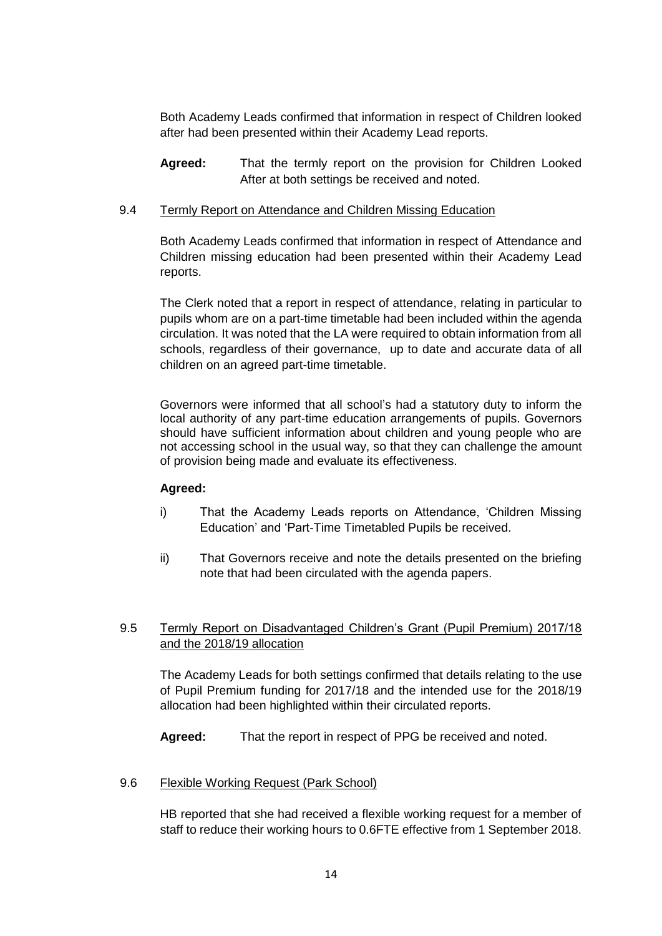Both Academy Leads confirmed that information in respect of Children looked after had been presented within their Academy Lead reports.

**Agreed:** That the termly report on the provision for Children Looked After at both settings be received and noted.

#### 9.4 Termly Report on Attendance and Children Missing Education

Both Academy Leads confirmed that information in respect of Attendance and Children missing education had been presented within their Academy Lead reports.

The Clerk noted that a report in respect of attendance, relating in particular to pupils whom are on a part-time timetable had been included within the agenda circulation. It was noted that the LA were required to obtain information from all schools, regardless of their governance, up to date and accurate data of all children on an agreed part-time timetable.

Governors were informed that all school's had a statutory duty to inform the local authority of any part-time education arrangements of pupils. Governors should have sufficient information about children and young people who are not accessing school in the usual way, so that they can challenge the amount of provision being made and evaluate its effectiveness.

## **Agreed:**

- i) That the Academy Leads reports on Attendance, 'Children Missing Education' and 'Part-Time Timetabled Pupils be received.
- ii) That Governors receive and note the details presented on the briefing note that had been circulated with the agenda papers.
- 9.5 Termly Report on Disadvantaged Children's Grant (Pupil Premium) 2017/18 and the 2018/19 allocation

The Academy Leads for both settings confirmed that details relating to the use of Pupil Premium funding for 2017/18 and the intended use for the 2018/19 allocation had been highlighted within their circulated reports.

**Agreed:** That the report in respect of PPG be received and noted.

#### 9.6 Flexible Working Request (Park School)

HB reported that she had received a flexible working request for a member of staff to reduce their working hours to 0.6FTE effective from 1 September 2018.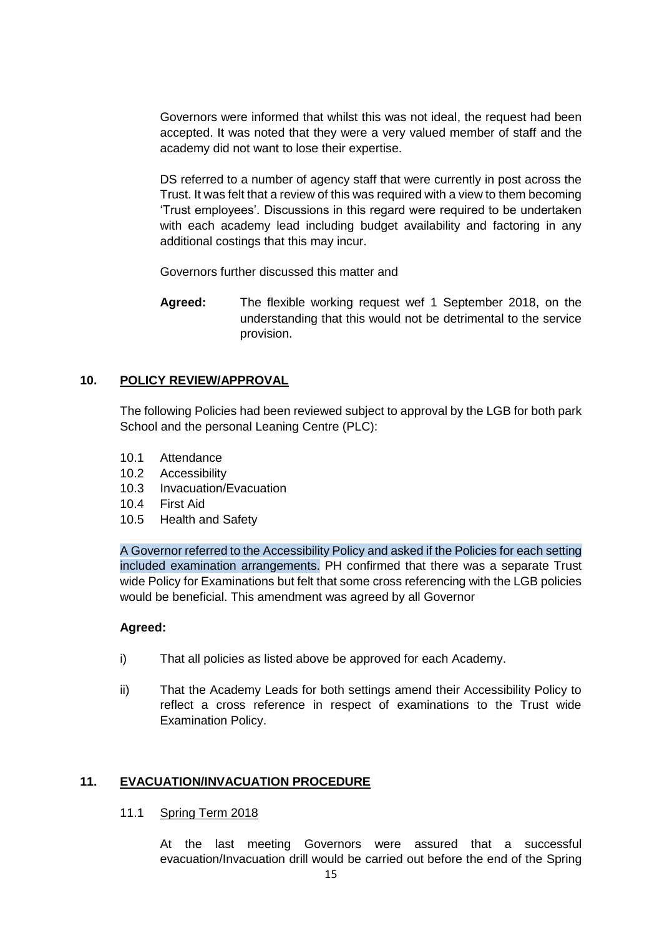Governors were informed that whilst this was not ideal, the request had been accepted. It was noted that they were a very valued member of staff and the academy did not want to lose their expertise.

DS referred to a number of agency staff that were currently in post across the Trust. It was felt that a review of this was required with a view to them becoming 'Trust employees'. Discussions in this regard were required to be undertaken with each academy lead including budget availability and factoring in any additional costings that this may incur.

Governors further discussed this matter and

**Agreed:** The flexible working request wef 1 September 2018, on the understanding that this would not be detrimental to the service provision.

# **10. POLICY REVIEW/APPROVAL**

The following Policies had been reviewed subject to approval by the LGB for both park School and the personal Leaning Centre (PLC):

- 10.1 Attendance
- 10.2 Accessibility
- 10.3 Invacuation/Evacuation
- 10.4 First Aid
- 10.5 Health and Safety

A Governor referred to the Accessibility Policy and asked if the Policies for each setting included examination arrangements. PH confirmed that there was a separate Trust wide Policy for Examinations but felt that some cross referencing with the LGB policies would be beneficial. This amendment was agreed by all Governor

## **Agreed:**

- i) That all policies as listed above be approved for each Academy.
- ii) That the Academy Leads for both settings amend their Accessibility Policy to reflect a cross reference in respect of examinations to the Trust wide Examination Policy.

## **11. EVACUATION/INVACUATION PROCEDURE**

## 11.1 Spring Term 2018

At the last meeting Governors were assured that a successful evacuation/Invacuation drill would be carried out before the end of the Spring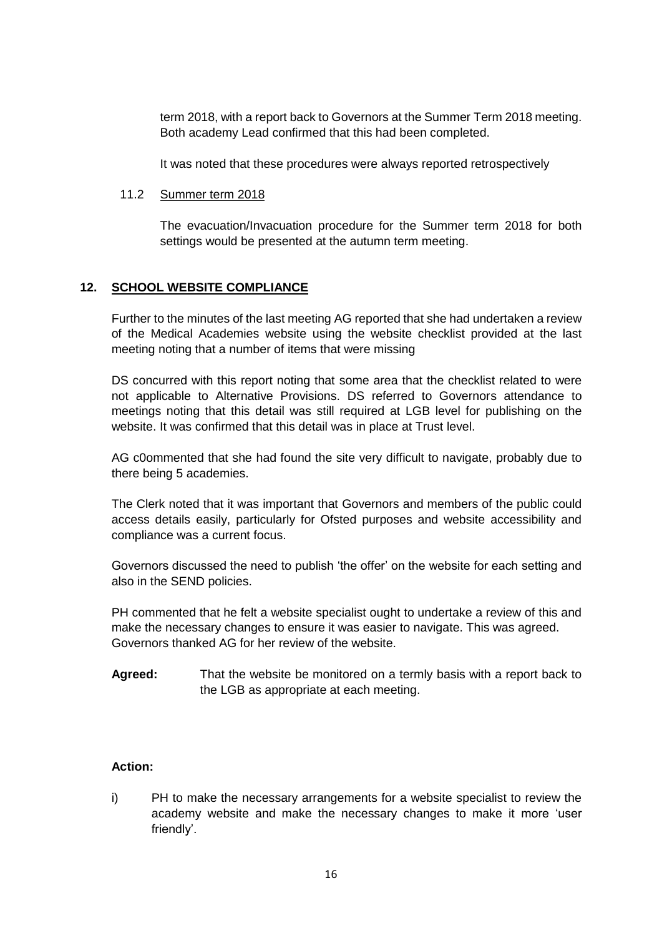term 2018, with a report back to Governors at the Summer Term 2018 meeting. Both academy Lead confirmed that this had been completed.

It was noted that these procedures were always reported retrospectively

#### 11.2 Summer term 2018

The evacuation/Invacuation procedure for the Summer term 2018 for both settings would be presented at the autumn term meeting.

## **12. SCHOOL WEBSITE COMPLIANCE**

Further to the minutes of the last meeting AG reported that she had undertaken a review of the Medical Academies website using the website checklist provided at the last meeting noting that a number of items that were missing

DS concurred with this report noting that some area that the checklist related to were not applicable to Alternative Provisions. DS referred to Governors attendance to meetings noting that this detail was still required at LGB level for publishing on the website. It was confirmed that this detail was in place at Trust level.

AG c0ommented that she had found the site very difficult to navigate, probably due to there being 5 academies.

The Clerk noted that it was important that Governors and members of the public could access details easily, particularly for Ofsted purposes and website accessibility and compliance was a current focus.

Governors discussed the need to publish 'the offer' on the website for each setting and also in the SEND policies.

PH commented that he felt a website specialist ought to undertake a review of this and make the necessary changes to ensure it was easier to navigate. This was agreed. Governors thanked AG for her review of the website.

**Agreed:** That the website be monitored on a termly basis with a report back to the LGB as appropriate at each meeting.

# **Action:**

i) PH to make the necessary arrangements for a website specialist to review the academy website and make the necessary changes to make it more 'user friendly'.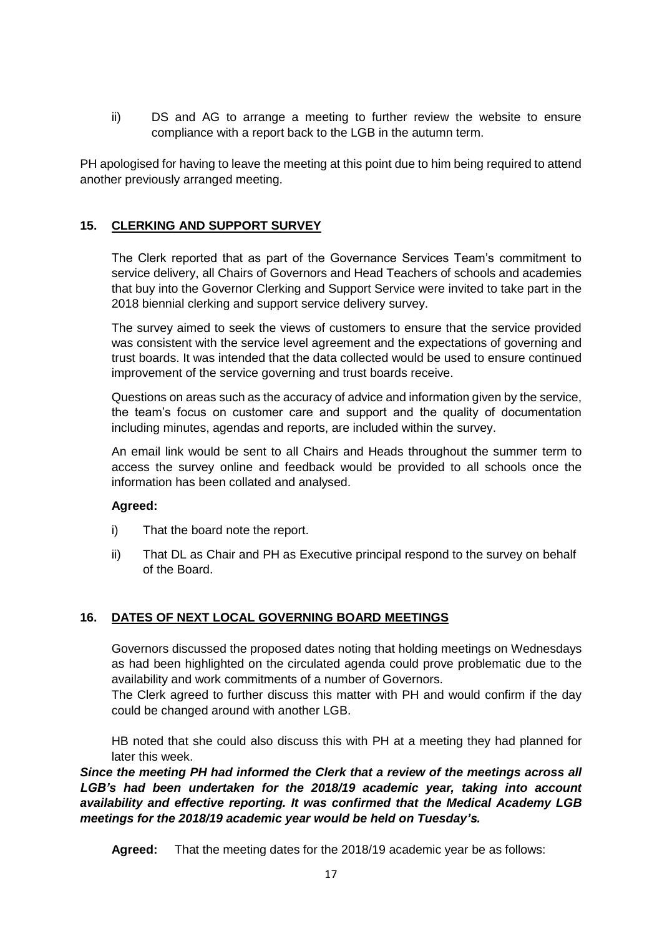ii) DS and AG to arrange a meeting to further review the website to ensure compliance with a report back to the LGB in the autumn term.

PH apologised for having to leave the meeting at this point due to him being required to attend another previously arranged meeting.

# **15. CLERKING AND SUPPORT SURVEY**

The Clerk reported that as part of the Governance Services Team's commitment to service delivery, all Chairs of Governors and Head Teachers of schools and academies that buy into the Governor Clerking and Support Service were invited to take part in the 2018 biennial clerking and support service delivery survey.

The survey aimed to seek the views of customers to ensure that the service provided was consistent with the service level agreement and the expectations of governing and trust boards. It was intended that the data collected would be used to ensure continued improvement of the service governing and trust boards receive.

Questions on areas such as the accuracy of advice and information given by the service, the team's focus on customer care and support and the quality of documentation including minutes, agendas and reports, are included within the survey.

An email link would be sent to all Chairs and Heads throughout the summer term to access the survey online and feedback would be provided to all schools once the information has been collated and analysed.

## **Agreed:**

- i) That the board note the report.
- ii) That DL as Chair and PH as Executive principal respond to the survey on behalf of the Board.

## **16. DATES OF NEXT LOCAL GOVERNING BOARD MEETINGS**

Governors discussed the proposed dates noting that holding meetings on Wednesdays as had been highlighted on the circulated agenda could prove problematic due to the availability and work commitments of a number of Governors.

The Clerk agreed to further discuss this matter with PH and would confirm if the day could be changed around with another LGB.

HB noted that she could also discuss this with PH at a meeting they had planned for later this week.

*Since the meeting PH had informed the Clerk that a review of the meetings across all LGB's had been undertaken for the 2018/19 academic year, taking into account availability and effective reporting. It was confirmed that the Medical Academy LGB meetings for the 2018/19 academic year would be held on Tuesday's.*

**Agreed:** That the meeting dates for the 2018/19 academic year be as follows: